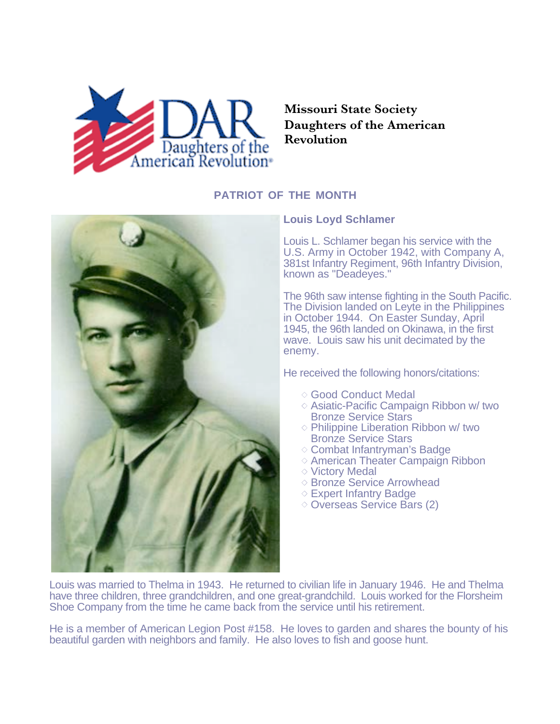

## **Missouri State Society Daughters of the American Revolution**

## **PATRIOT OF THE MONTH**



## **Louis Loyd Schlamer**

Louis L. Schlamer began his service with the U.S. Army in October 1942, with Company A, 381st Infantry Regiment, 96th Infantry Division, known as "Deadeyes."

The 96th saw intense fighting in the South Pacific. The Division landed on Leyte in the Philippines in October 1944. On Easter Sunday, April 1945, the 96th landed on Okinawa, in the first wave. Louis saw his unit decimated by the enemy.

He received the following honors/citations:

- Good Conduct Medal
- $\diamond$  Asiatic-Pacific Campaign Ribbon w/ two Bronze Service Stars
- $\diamond$  Philippine Liberation Ribbon w/ two **Bronze Service Stars**
- Combat Infantryman's Badge
- $\diamond$  American Theater Campaign Ribbon
- **◇ Victory Medal**
- ◇ Bronze Service Arrowhead
- Expert Infantry Badge
- Overseas Service Bars (2)

Louis was married to Thelma in 1943. He returned to civilian life in January 1946. He and Thelma have three children, three grandchildren, and one great-grandchild. Louis worked for the Florsheim Shoe Company from the time he came back from the service until his retirement.

He is a member of American Legion Post #158. He loves to garden and shares the bounty of his beautiful garden with neighbors and family. He also loves to fish and goose hunt.